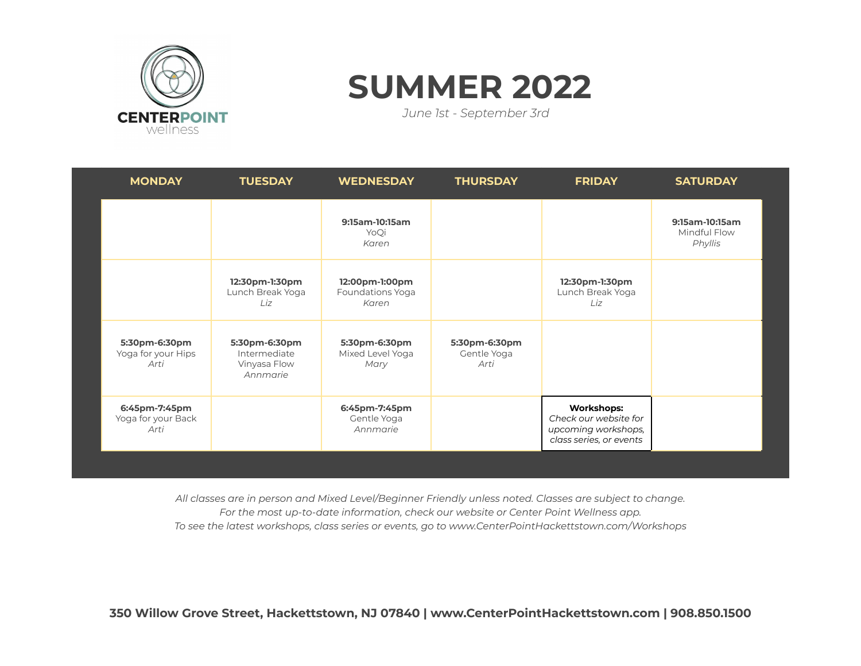

## **SUMMER 2022**

*June 1st - September 3rd*

| <b>MONDAY</b>                               | <b>TUESDAY</b>                                            | <b>WEDNESDAY</b>                            | <b>THURSDAY</b>                      | <b>FRIDAY</b>                                                                                | <b>SATURDAY</b>                           |
|---------------------------------------------|-----------------------------------------------------------|---------------------------------------------|--------------------------------------|----------------------------------------------------------------------------------------------|-------------------------------------------|
|                                             |                                                           | 9:15am-10:15am<br>YoQi<br>Karen             |                                      |                                                                                              | 9:15am-10:15am<br>Mindful Flow<br>Phyllis |
|                                             | 12:30pm-1:30pm<br>Lunch Break Yoga<br>Liz.                | 12:00pm-1:00pm<br>Foundations Yoga<br>Karen |                                      | 12:30pm-1:30pm<br>Lunch Break Yoga<br>Liz                                                    |                                           |
| 5:30pm-6:30pm<br>Yoga for your Hips<br>Arti | 5:30pm-6:30pm<br>Intermediate<br>Vinyasa Flow<br>Annmarie | 5:30pm-6:30pm<br>Mixed Level Yoga<br>Mary   | 5:30pm-6:30pm<br>Gentle Yoga<br>Arti |                                                                                              |                                           |
| 6:45pm-7:45pm<br>Yoga for your Back<br>Arti |                                                           | 6:45pm-7:45pm<br>Gentle Yoga<br>Annmarie    |                                      | <b>Workshops:</b><br>Check our website for<br>upcoming workshops,<br>class series, or events |                                           |

*All classes are in person and Mixed Level/Beginner Friendly unless noted. Classes are subject to change. For the most up-to-date information, check our website or Center Point Wellness app. To see the latest workshops, class series or events, go to www.CenterPointHackettstown.com/Workshops*

**350 Willow Grove Street, Hackettstown, NJ 07840 | www.CenterPointHackettstown.com | 908.850.1500**